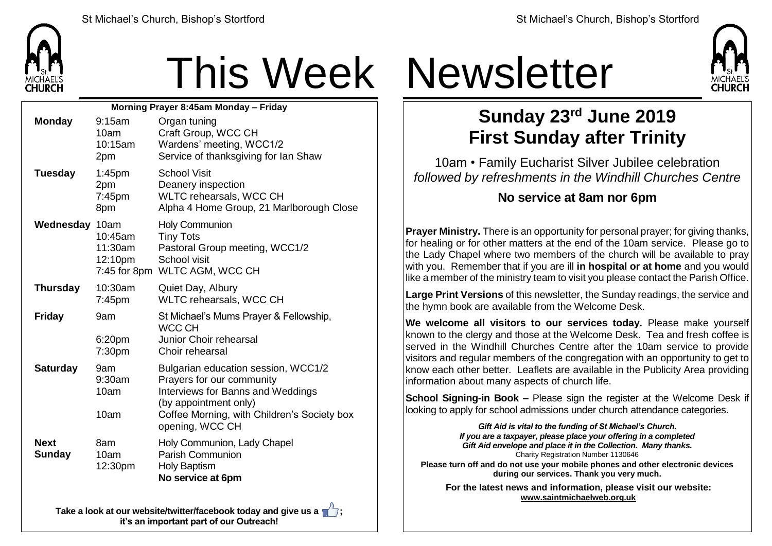

# This Week Newsletter

| Morning Prayer 8:45am Monday - Friday |                                      |                                                                                                                                                                                                  |  |  |  |
|---------------------------------------|--------------------------------------|--------------------------------------------------------------------------------------------------------------------------------------------------------------------------------------------------|--|--|--|
| <b>Monday</b>                         | 9:15am<br>10am<br>10:15am<br>2pm     | Organ tuning<br>Craft Group, WCC CH<br>Wardens' meeting, WCC1/2<br>Service of thanksgiving for Ian Shaw                                                                                          |  |  |  |
| <b>Tuesday</b>                        | $1:45$ pm<br>2pm<br>$7:45$ pm<br>8pm | <b>School Visit</b><br>Deanery inspection<br>WLTC rehearsals, WCC CH<br>Alpha 4 Home Group, 21 Marlborough Close                                                                                 |  |  |  |
| Wednesday 10am                        | 10:45am<br>11:30am<br>12:10pm        | <b>Holy Communion</b><br><b>Tiny Tots</b><br>Pastoral Group meeting, WCC1/2<br>School visit<br>7:45 for 8pm WLTC AGM, WCC CH                                                                     |  |  |  |
| <b>Thursday</b>                       | 10:30am<br>$7:45$ pm                 | Quiet Day, Albury<br>WLTC rehearsals, WCC CH                                                                                                                                                     |  |  |  |
| <b>Friday</b>                         | 9am<br>6:20pm<br>7:30pm              | St Michael's Mums Prayer & Fellowship,<br><b>WCC CH</b><br>Junior Choir rehearsal<br>Choir rehearsal                                                                                             |  |  |  |
| <b>Saturday</b>                       | 9am<br>9:30am<br>10am<br>10am        | Bulgarian education session, WCC1/2<br>Prayers for our community<br>Interviews for Banns and Weddings<br>(by appointment only)<br>Coffee Morning, with Children's Society box<br>opening, WCC CH |  |  |  |
| <b>Next</b><br><b>Sunday</b>          | 8am<br>10am<br>12:30pm               | Holy Communion, Lady Chapel<br><b>Parish Communion</b><br><b>Holy Baptism</b><br>No service at 6pm                                                                                               |  |  |  |

**Take a look at our website/twitter/facebook today and give us a**  $\mathbf{a}$ **, it's an important part of our Outreach!**



### **Sunday 23rd June 2019 First Sunday after Trinity**

10am • Family Eucharist Silver Jubilee celebration *followed by refreshments in the Windhill Churches Centre*

#### **No service at 8am nor 6pm**

**Prayer Ministry.** There is an opportunity for personal prayer; for giving thanks, for healing or for other matters at the end of the 10am service. Please go to the Lady Chapel where two members of the church will be available to pray with you. Remember that if you are ill **in hospital or at home** and you would like a member of the ministry team to visit you please contact the Parish Office.

**Large Print Versions** of this newsletter, the Sunday readings, the service and the hymn book are available from the Welcome Desk.

**We welcome all visitors to our services today.** Please make yourself  $\vert$  known to the clergy and those at the Welcome Desk. Tea and fresh coffee is served in the Windhill Churches Centre after the 10am service to provide visitors and regular members of the congregation with an opportunity to get to know each other better. Leaflets are available in the Publicity Area providing information about many aspects of church life.

**School Signing-in Book –** Please sign the register at the Welcome Desk if looking to apply for school admissions under church attendance categories.

> *Gift Aid is vital to the funding of St Michael's Church. If you are a taxpayer, please place your offering in a completed Gift Aid envelope and place it in the Collection. Many thanks.* Charity Registration Number 1130646

**Please turn off and do not use your mobile phones and other electronic devices during our services. Thank you very much.**

**For the latest news and information, please visit our website: [www.saintmichaelweb.org.uk](http://www.saintmichaelweb.org.uk/)**